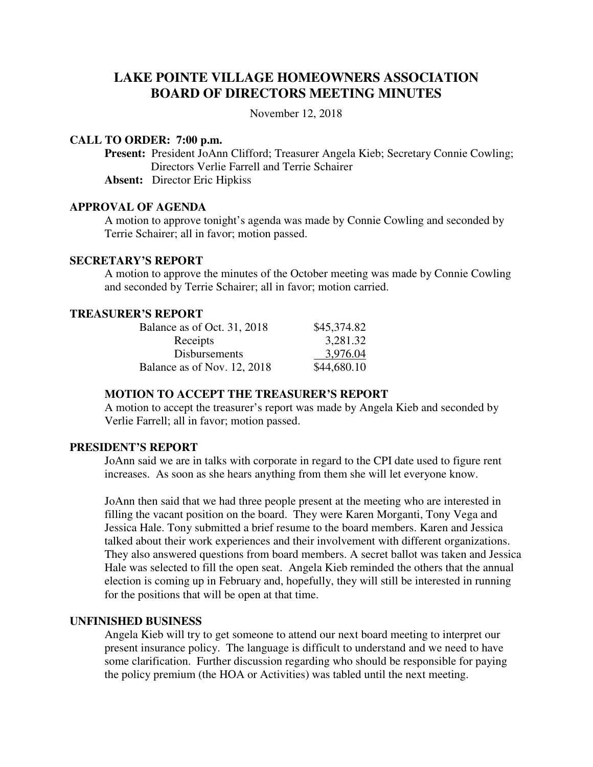# **LAKE POINTE VILLAGE HOMEOWNERS ASSOCIATION BOARD OF DIRECTORS MEETING MINUTES**

November 12, 2018

#### **CALL TO ORDER: 7:00 p.m.**

**Present:** President JoAnn Clifford; Treasurer Angela Kieb; Secretary Connie Cowling; Directors Verlie Farrell and Terrie Schairer

**Absent:** Director Eric Hipkiss

#### **APPROVAL OF AGENDA**

A motion to approve tonight's agenda was made by Connie Cowling and seconded by Terrie Schairer; all in favor; motion passed.

### **SECRETARY'S REPORT**

A motion to approve the minutes of the October meeting was made by Connie Cowling and seconded by Terrie Schairer; all in favor; motion carried.

## **TREASURER'S REPORT**

| Balance as of Oct. 31, 2018 | \$45,374.82 |
|-----------------------------|-------------|
| Receipts                    | 3,281.32    |
| <b>Disbursements</b>        | 3,976.04    |
| Balance as of Nov. 12, 2018 | \$44,680.10 |

## **MOTION TO ACCEPT THE TREASURER'S REPORT**

A motion to accept the treasurer's report was made by Angela Kieb and seconded by Verlie Farrell; all in favor; motion passed.

### **PRESIDENT'S REPORT**

JoAnn said we are in talks with corporate in regard to the CPI date used to figure rent increases. As soon as she hears anything from them she will let everyone know.

JoAnn then said that we had three people present at the meeting who are interested in filling the vacant position on the board. They were Karen Morganti, Tony Vega and Jessica Hale. Tony submitted a brief resume to the board members. Karen and Jessica talked about their work experiences and their involvement with different organizations. They also answered questions from board members. A secret ballot was taken and Jessica Hale was selected to fill the open seat. Angela Kieb reminded the others that the annual election is coming up in February and, hopefully, they will still be interested in running for the positions that will be open at that time.

### **UNFINISHED BUSINESS**

 Angela Kieb will try to get someone to attend our next board meeting to interpret our present insurance policy. The language is difficult to understand and we need to have some clarification. Further discussion regarding who should be responsible for paying the policy premium (the HOA or Activities) was tabled until the next meeting.